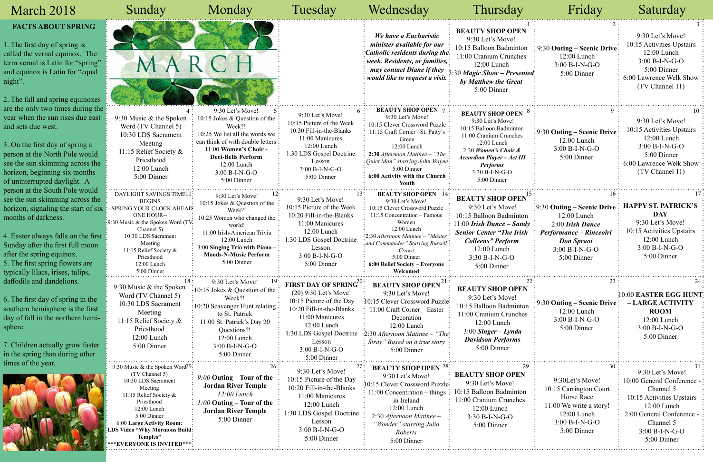| March 2018                                                                                                                                                                                                                                                                                                      | Sunday                                                                                                                                                                                                                                                             | Monday                                                                                                                                                                                                                                  | Tuesday                                                                                                                                                                                                        | Wednesday                                                                                                                                                                                                                                                                               | Thursday                                                                                                                                                                                                                            | Friday                                                                                                                                                           | Saturday                                                                                                                                                                           |
|-----------------------------------------------------------------------------------------------------------------------------------------------------------------------------------------------------------------------------------------------------------------------------------------------------------------|--------------------------------------------------------------------------------------------------------------------------------------------------------------------------------------------------------------------------------------------------------------------|-----------------------------------------------------------------------------------------------------------------------------------------------------------------------------------------------------------------------------------------|----------------------------------------------------------------------------------------------------------------------------------------------------------------------------------------------------------------|-----------------------------------------------------------------------------------------------------------------------------------------------------------------------------------------------------------------------------------------------------------------------------------------|-------------------------------------------------------------------------------------------------------------------------------------------------------------------------------------------------------------------------------------|------------------------------------------------------------------------------------------------------------------------------------------------------------------|------------------------------------------------------------------------------------------------------------------------------------------------------------------------------------|
| <b>FACTS ABOUT SPRING</b><br>1. The first day of spring is<br>called the vernal equinox. The<br>term vernal is Latin for "spring"<br>and equinox is Latin for "equal<br>night".<br>2. The fall and spring equinoxes                                                                                             | MARCH                                                                                                                                                                                                                                                              |                                                                                                                                                                                                                                         |                                                                                                                                                                                                                | We have a Eucharistic<br>minister available for our<br>Catholic residents during the<br>week. Residents, or families,:<br>may contact Diane if they<br><i>would like to request a visit.</i>                                                                                            | <b>BEAUTY SHOP OPEN</b><br>9:30 Let's Move!<br>10:15 Balloon Badminton<br>11:00 Cranium Crunches<br>12:00 Lunch<br>3:30 Magic Show - Presented:<br>by Matthew the Great<br>5:00 Dinner                                              | $\therefore$ 9:30 Outing – Scenic Drive:<br>$12:00$ Lunch<br>3:00 B-I-N-G-O<br>5:00 Dinner                                                                       | 9:30 Let's Move!<br>10:15 Activities Upstairs<br>$12:00$ Lunch<br>$3:00 B-I-N-G-O$<br>5:00 Dinner<br>6:00 Lawrence Welk Show<br>(TV Channel 11)                                    |
| are the only two times during the<br>year when the sun rises due east<br>and sets due west.<br>3. On the first day of spring a<br>person at the North Pole would<br>see the sun skimming across the<br>horizon, beginning six months<br>of uninterrupted daylight. A                                            | 9:30 Music & the Spoken<br>Word (TV Channel 5)<br>10:30 LDS Sacrament<br>Meeting<br>11:15 Relief Society &<br>Priesthood<br>12:00 Lunch<br>5:00 Dinner                                                                                                             | 9:30 Let's Move!<br>10:15 Jokes & Question of the<br>Week?!<br>10:25 We list all the words we<br>can think of with double letters<br>11:00 Women's Choir -<br><b>Deci-Bells Perform</b><br>12:00 Lunch<br>3:00 B-I-N-G-O<br>5:00 Dinner | 9:30 Let's Move!<br>10:15 Picture of the Week<br>10:30 Fill-in-the-Blanks<br>11:00 Manicures<br>$12:00$ Lunch<br>1:30 LDS Gospel Doctrine<br>Lesson<br>3:00 B-I-N-G-O<br>5:00 Dinner                           | <b>BEAUTY SHOP OPEN 7</b><br>9:30 Let's Move!<br>10:15 Clever Crossword Puzzle:<br>11:15 Craft Corner - St. Patty's<br>Green<br>$12:00$ Lunch<br>2:30 Afternoon Matinee - "The<br>: Ouiet Man" starring John Wayne:<br>5:00 Dinner<br>6:00 Activity with the Church:<br>Youth           | <b>BEAUTY SHOP OPEN</b><br>9:30 Let's Move!<br>10:15 Balloon Badminton<br>11:00 Cranium Crunches<br>12:00 Lunch<br>2:30 Women's Choir $\&$<br><b>Accordion Player - Act III</b><br><b>Performs</b><br>3:30 B-I-N-G-O<br>5:00 Dinner | 9:30 Outing – Scenic Drive<br>12:00 Lunch<br>3:00 B-I-N-G-O<br>5:00 Dinner                                                                                       | 9:30 Let's Move!<br>10:15 Activities Upstairs<br>$12:00$ Lunch<br>$3:00 B-I-N-G-O$<br>5:00 Dinner<br>6:00 Lawrence Welk Show<br>(TV Channel 11)                                    |
| person at the South Pole would<br>see the sun skimming across the<br>horizon, signaling the start of six<br>months of darkness.<br>4. Easter always falls on the first<br>Sunday after the first full moon<br>after the spring equinox.<br>5. The first spring flowers are<br>typically lilacs, irises, tulips, | DAYLIGHT SAVINGS TIME11<br><b>BEGINS</b><br>-SPRING YOUR CLOCK AHEAD<br><b>ONE HOUR--</b><br>:9:30 Music & the Spoken Word (TV<br>Channel 5)<br>10:30 LDS Sacrament<br>Meeting<br>11:15 Relief Society &<br>Priesthood<br>$12:00$ Lunch<br>5:00 Dinner             | 9:30 Let's Move!<br>10:15 Jokes & Question of the<br>Week?!<br>10:25 Women who changed the<br>world!<br>11:00 Irish-American Trivia<br>12:00 Lunch<br>3:00 Singing Trio with Piano -<br><b>Moods-N-Music Perform</b><br>5:00 Dinner     | 9:30 Let's Move!<br>10:15 Picture of the Week<br>10:20 Fill-in-the-Blanks<br>11:00 Manicures<br>12:00 Lunch<br>1:30 LDS Gospel Doctrine<br>Lesson<br>$3:00 B-I-N-G-O$<br>$5:00$ Dinner                         | <b>BEAUTY SHOP OPEN</b> 14:<br>9:30 Let's Move!<br>10:15 Clever Crossword Puzzle<br>11:15 Concentration - Famous<br>Women<br>12:00 Lunch<br>: 2:30 Afternoon Matinee - "Master<br>and Commander" Starring Russell<br>Crowe<br>5:00 Dinner<br>6:00 Relief Society - Everyone<br>Welcomed | <b>BEAUTY SHOP OPEN</b><br>9:30 Let's Move!<br>10:15 Balloon Badminton<br>11:00 Irish Dance – Sandy<br><b>Senior Center "The Irish</b><br><b>Colleens</b> " <b>Perform</b><br>$12:00$ Lunch<br>$3:30 B-I-N-G-O$<br>5:00 Dinner      | $\frac{1}{2}$ 9:30 Outing – Scenic Drive<br>12:00 Lunch<br>$2:00$ Irish Dance<br>Performance – Rinceoiri<br><b>Don Spraoi</b><br>$3:00 B-I-N-G-O$<br>5:00 Dinner | <b>HAPPY ST. PATRICK'S</b><br><b>DAY</b><br>9:30 Let's Move!<br>10:15 Activities Upstairs<br>$12:00$ Lunch<br>$3:00 B-I-N-G-O$<br>5:00 Dinner                                      |
| daffodils and dandelions.<br>6. The first day of spring in the<br>southern hemisphere is the first<br>day of fall in the northern hemi-<br>sphere.<br>7. Children actually grow faster<br>in the spring than during other                                                                                       | 9:30 Music & the Spoken<br>Word (TV Channel 5)<br>10:30 LDS Sacrament<br>Meeting<br>11:15 Relief Society &<br>Priesthood<br>12:00 Lunch<br>5:00 Dinner                                                                                                             | 9:30 Let's Move!<br>$:10:15$ Jokes & Question of the<br>Week?!<br>10:20 Scavenger Hunt relating<br>to St. Patrick<br>11:00 St. Patrick's Day 20<br>Questions?!<br>12:00 Lunch<br>$3:00 B-I-N-G-O$<br>5:00 Dinner                        | FIRST DAY OF SPRING"<br>(20) 9:30 Let's Move!<br>10:15 Picture of the Day<br>10:20 Fill-in-the-Blanks<br>11:00 Manicures<br>12:00 Lunch<br>1:30 LDS Gospel Doctrine<br>Lesson<br>3:00 B-I-N-G-O<br>5:00 Dinner | <b>BEAUTY SHOP OPEN<sup>21</sup></b><br>9:30 Let's Move!<br>:10:15 Clever Crossword Puzzle<br>11:00 Craft Corner - Easter<br>Decoration<br>12:00 Lunch<br>2:30 Afternoon Matinee - "The<br>Stray" Based on a true story<br>5:00 Dinner                                                  | <b>BEAUTY SHOP OPEN</b><br>9:30 Let's Move!<br>10:15 Balloon Badminton<br>11:00 Cranium Crunches<br>12:00 Lunch<br>$3:00$ Singer – Lynda<br><b>Davidson Performs</b><br>5:00 Dinner                                                 | 9:30 Outing – Scenic Drive<br>12:00 Lunch<br>3:00 B-I-N-G-O<br>5:00 Dinner                                                                                       | :10:00 EASTER EGG HUNT<br>- LARGE ACTIVITY<br><b>ROOM</b><br>12:00 Lunch<br>$3:00 B-I-N-G-O$<br>5:00 Dinner                                                                        |
| times of the year.                                                                                                                                                                                                                                                                                              | 9:30 Music & the Spoken Word25<br>(TV Channel 5)<br>10:30 LDS Sacrament<br>Meeting<br>11:15 Relief Society &<br>Priesthood<br>12:00 Lunch<br>5:00 Dinner<br>6:00 Large Activity Room:<br><b>LDS Video "Why Mormons Build:</b><br>Temples"<br>EVERVONE IS INVITED** | $9:00$ Outing – Tour of the<br><b>Jordan River Temple</b><br>$12:00$ Lunch<br>$1:00$ Outing – Tour of the<br><b>Jordan River Temple</b><br>5:00 Dinner                                                                                  | 9:30 Let's Move!<br>10:15 Picture of the Day<br>10:20 Fill-in-the-Blanks<br>11:00 Manicures<br>12:00 Lunch<br>1:30 LDS Gospel Doctrine<br>Lesson<br>$3:00 B-I-N-G-O$<br>5:00 Dinner                            | <b>BEAUTY SHOP OPEN 28:</b><br>9:30 Let's Move!<br>10:15 Clever Crossword Puzzle:<br>$11:00$ Concentration – things:<br>in Ireland<br>12:00 Lunch<br>2:30 Afternoon Matinee -<br>"Wonder" starring Julia<br>Roberts<br>5:00 Dinner                                                      | 29<br><b>BEAUTY SHOP OPEN</b><br>9:30 Let's Move!<br>10:15 Balloon Badminton<br>11:00 Cranium Crunches<br>12:00 Lunch<br>3:30 B-I-N-G-O<br>5:00 Dinner                                                                              | 30<br>9:30Let's Move!<br>10:15 Carrington Court<br>Horse Race<br>11:00 We write a story!<br>12:00 Lunch<br>$3:00 B-I-N-G-O$<br>5:00 Dinner                       | 9:30 Let's Move!<br>10:00 General Conference -<br>Channel 5<br>10:15 Activities Upstairs<br>12:00 Lunch<br>2:00 General Conference<br>Channel 5<br>$3:00 B-I-N-G-O$<br>5:00 Dinner |

|                                                                 | Friday                                                                                                                                               | Saturday                                                                                                                                                                                     |
|-----------------------------------------------------------------|------------------------------------------------------------------------------------------------------------------------------------------------------|----------------------------------------------------------------------------------------------------------------------------------------------------------------------------------------------|
| 1<br>m<br>S:<br>nted:                                           | 2:<br>9:30 Outing – Scenic Drive<br>12:00 Lunch<br>$3:00 B-I-N-G-O$<br>5:00 Dinner                                                                   | 3<br>9:30 Let's Move!<br>10:15 Activities Upstairs<br>12:00 Lunch<br>3:00 B-I-N-G-O<br>5:00 Dinner<br>6:00 Lawrence Welk Show<br>(TV Channel 11)                                             |
| 8<br>T                                                          | 9<br>9:30 Outing – Scenic Drive<br>12:00 Lunch<br>3:00 B-I-N-G-O<br>5:00 Dinner                                                                      | 10<br>9:30 Let's Move!<br>10:15 Activities Upstairs<br>12:00 Lunch<br>3:00 B-I-N-G-O<br>5:00 Dinner<br>6:00 Lawrence Welk Show<br>(TV Channel 11)                                            |
| $\vec{N}^{15}$<br>эn<br>$\frac{d\mathbf{v}}{d\mathbf{v}}$<br>sh | 16<br>9:30 Outing – Scenic Drive<br>12:00 Lunch<br>2:00 Irish Dance<br>Performance - Rinceoiri<br><b>Don Spraoi</b><br>3:00 B-I-N-G-O<br>5:00 Dinner | 17<br><b>HAPPY ST. PATRICK'S</b><br><b>DAY</b><br>9:30 Let's Move!<br>10:15 Activities Upstairs<br>12:00 Lunch<br>3:00 B-I-N-G-O<br>5:00 Dinner                                              |
| 22<br>N<br>on<br>es                                             | 23<br>9:30 Outing – Scenic Drive<br>12:00 Lunch<br>$3:00 B-I-N-G-O$<br>5:00 Dinner                                                                   | 24<br>10:00 EASTER EGG HUNT<br>- LARGE ACTIVITY<br><b>ROOM</b><br>12:00 Lunch<br>$3:00 B-I-N-G-O$<br>5:00 Dinner                                                                             |
| 29<br>n<br>S                                                    | 30<br>9:30Let's Move!<br>10:15 Carrington Court<br>Horse Race<br>11:00 We write a story!<br>12:00 Lunch<br>$3:00 B-I-N-G-O$<br>5:00 Dinner           | 31<br>9:30 Let's Move!<br>10:00 General Conference -<br>Channel 5<br>10:15 Activities Upstairs<br>$12:00$ Lunch<br>2:00 General Conference -<br>Channel 5<br>$3:00 B-I-N-G-O$<br>5:00 Dinner |